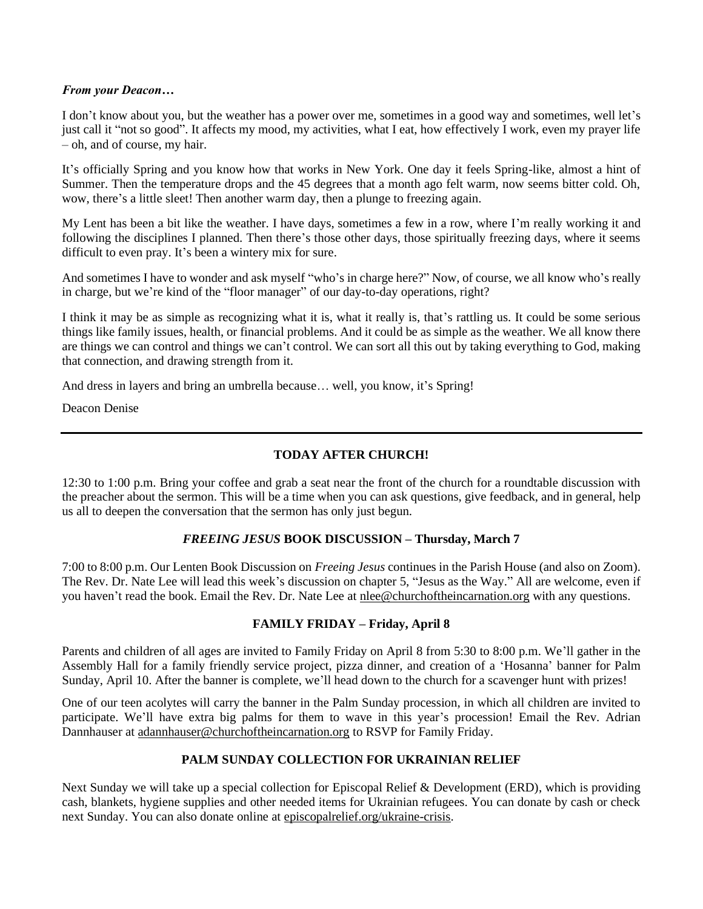#### *From your Deacon…*

I don't know about you, but the weather has a power over me, sometimes in a good way and sometimes, well let's just call it "not so good". It affects my mood, my activities, what I eat, how effectively I work, even my prayer life – oh, and of course, my hair.

It's officially Spring and you know how that works in New York. One day it feels Spring-like, almost a hint of Summer. Then the temperature drops and the 45 degrees that a month ago felt warm, now seems bitter cold. Oh, wow, there's a little sleet! Then another warm day, then a plunge to freezing again.

My Lent has been a bit like the weather. I have days, sometimes a few in a row, where I'm really working it and following the disciplines I planned. Then there's those other days, those spiritually freezing days, where it seems difficult to even pray. It's been a wintery mix for sure.

And sometimes I have to wonder and ask myself "who's in charge here?" Now, of course, we all know who's really in charge, but we're kind of the "floor manager" of our day-to-day operations, right?

I think it may be as simple as recognizing what it is, what it really is, that's rattling us. It could be some serious things like family issues, health, or financial problems. And it could be as simple as the weather. We all know there are things we can control and things we can't control. We can sort all this out by taking everything to God, making that connection, and drawing strength from it.

And dress in layers and bring an umbrella because… well, you know, it's Spring!

Deacon Denise

# **TODAY AFTER CHURCH!**

12:30 to 1:00 p.m. Bring your coffee and grab a seat near the front of the church for a roundtable discussion with the preacher about the sermon. This will be a time when you can ask questions, give feedback, and in general, help us all to deepen the conversation that the sermon has only just begun.

# *FREEING JESUS* **BOOK DISCUSSION – Thursday, March 7**

7:00 to 8:00 p.m. Our Lenten Book Discussion on *Freeing Jesus* continues in the Parish House (and also on Zoom). The Rev. Dr. Nate Lee will lead this week's discussion on chapter 5, "Jesus as the Way." All are welcome, even if you haven't read the book. Email the Rev. Dr. Nate Lee at nlee@churchoftheincarnation.org with any questions.

#### **FAMILY FRIDAY – Friday, April 8**

Parents and children of all ages are invited to Family Friday on April 8 from 5:30 to 8:00 p.m. We'll gather in the Assembly Hall for a family friendly service project, pizza dinner, and creation of a 'Hosanna' banner for Palm Sunday, April 10. After the banner is complete, we'll head down to the church for a scavenger hunt with prizes!

One of our teen acolytes will carry the banner in the Palm Sunday procession, in which all children are invited to participate. We'll have extra big palms for them to wave in this year's procession! Email the Rev. Adrian Dannhauser at [adannhauser@churchoftheincarnation.org](mailto:adannhauser@churchoftheincarnation.org) to RSVP for Family Friday.

# **PALM SUNDAY COLLECTION FOR UKRAINIAN RELIEF**

Next Sunday we will take up a special collection for Episcopal Relief & Development (ERD), which is providing cash, blankets, hygiene supplies and other needed items for Ukrainian refugees. You can donate by cash or check next Sunday. You can also donate online at episcopalrelief.org/ukraine-crisis.